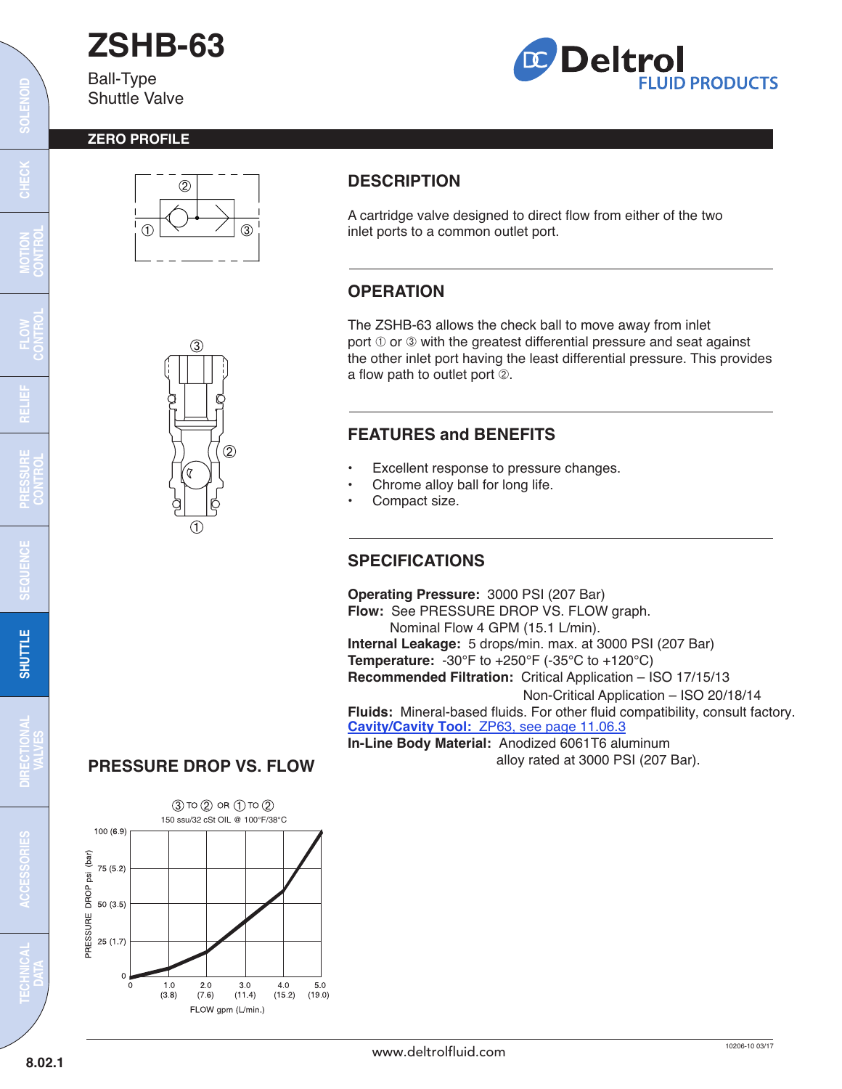# **ZSHB-63**

Ball-Type Shuttle Valve



#### **ZERO PROFILE**





# **DESCRIPTION**

A cartridge valve designed to direct flow from either of the two inlet ports to a common outlet port.

## **OPERATION**

The ZSHB-63 allows the check ball to move away from inlet port  $\mathbb O$  or  $\mathbb S$  with the greatest differential pressure and seat against the other inlet port having the least differential pressure. This provides a flow path to outlet port  $@.$ 

# **FEATURES and BENEFITS**

- Excellent response to pressure changes.
- Chrome alloy ball for long life.
- Compact size.

### **SPECIFICATIONS**

**Operating Pressure:** 3000 PSI (207 Bar) **Flow:** See PRESSURE DROP VS. FLOW graph. Nominal Flow 4 GPM (15.1 L/min). **Internal Leakage:** 5 drops/min. max. at 3000 PSI (207 Bar) **Temperature:** -30°F to +250°F (-35°C to +120°C) **Recommended Filtration:** Critical Application – ISO 17/15/13 Non-Critical Application – ISO 20/18/14 **Fluids:** Mineral-based fluids. For other fluid compatibility, consult factory. **Cavity/Cavity Tool:** [ZP63, see page 11.06.3](http://www.deltrolfluid.com/sites/default/files/cartridge/ZP63_Cavity.pdf) **In-Line Body Material:** Anodized 6061T6 aluminum

alloy rated at 3000 PSI (207 Bar).



**PRESSURE DROP VS. FLOW**

**MOTION CONTROL**

**RELIEF**

**FLOW CONTROL**

**PRESSURE CONTROL**

E

**SEQUENCE**

SEQUEN

**SOLENOID**

 $\frac{1}{2}$